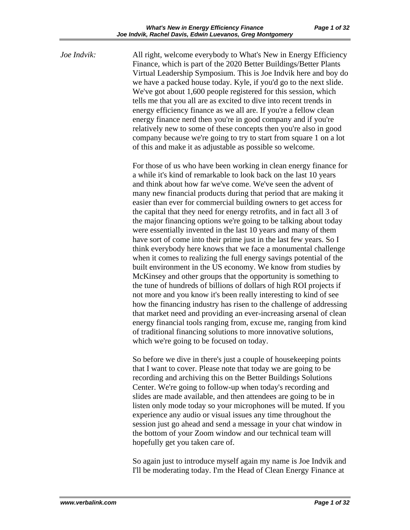*Joe Indvik:* All right, welcome everybody to What's New in Energy Efficiency Finance, which is part of the 2020 Better Buildings/Better Plants Virtual Leadership Symposium. This is Joe Indvik here and boy do we have a packed house today. Kyle, if you'd go to the next slide. We've got about 1,600 people registered for this session, which tells me that you all are as excited to dive into recent trends in energy efficiency finance as we all are. If you're a fellow clean energy finance nerd then you're in good company and if you're relatively new to some of these concepts then you're also in good company because we're going to try to start from square 1 on a lot of this and make it as adjustable as possible so welcome.

> For those of us who have been working in clean energy finance for a while it's kind of remarkable to look back on the last 10 years and think about how far we've come. We've seen the advent of many new financial products during that period that are making it easier than ever for commercial building owners to get access for the capital that they need for energy retrofits, and in fact all 3 of the major financing options we're going to be talking about today were essentially invented in the last 10 years and many of them have sort of come into their prime just in the last few years. So I think everybody here knows that we face a monumental challenge when it comes to realizing the full energy savings potential of the built environment in the US economy. We know from studies by McKinsey and other groups that the opportunity is something to the tune of hundreds of billions of dollars of high ROI projects if not more and you know it's been really interesting to kind of see how the financing industry has risen to the challenge of addressing that market need and providing an ever-increasing arsenal of clean energy financial tools ranging from, excuse me, ranging from kind of traditional financing solutions to more innovative solutions, which we're going to be focused on today.

So before we dive in there's just a couple of housekeeping points that I want to cover. Please note that today we are going to be recording and archiving this on the Better Buildings Solutions Center. We're going to follow-up when today's recording and slides are made available, and then attendees are going to be in listen only mode today so your microphones will be muted. If you experience any audio or visual issues any time throughout the session just go ahead and send a message in your chat window in the bottom of your Zoom window and our technical team will hopefully get you taken care of.

So again just to introduce myself again my name is Joe Indvik and I'll be moderating today. I'm the Head of Clean Energy Finance at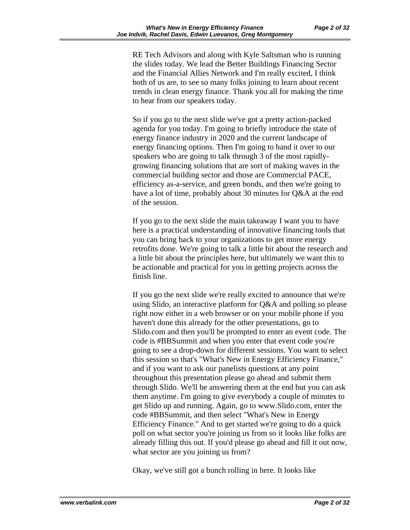RE Tech Advisors and along with Kyle Saltsman who is running the slides today. We lead the Better Buildings Financing Sector and the Financial Allies Network and I'm really excited, I think both of us are, to see so many folks joining to learn about recent trends in clean energy finance. Thank you all for making the time to hear from our speakers today.

So if you go to the next slide we've got a pretty action-packed agenda for you today. I'm going to briefly introduce the state of energy finance industry in 2020 and the current landscape of energy financing options. Then I'm going to hand it over to our speakers who are going to talk through 3 of the most rapidlygrowing financing solutions that are sort of making waves in the commercial building sector and those are Commercial PACE, efficiency as-a-service, and green bonds, and then we're going to have a lot of time, probably about 30 minutes for Q&A at the end of the session.

If you go to the next slide the main takeaway I want you to have here is a practical understanding of innovative financing tools that you can bring back to your organizations to get more energy retrofits done. We're going to talk a little bit about the research and a little bit about the principles here, but ultimately we want this to be actionable and practical for you in getting projects across the finish line.

If you go the next slide we're really excited to announce that we're using Slido, an interactive platform for Q&A and polling so please right now either in a web browser or on your mobile phone if you haven't done this already for the other presentations, go to Slido.com and then you'll be prompted to enter an event code. The code is #BBSummit and when you enter that event code you're going to see a drop-down for different sessions. You want to select this session so that's "What's New in Energy Efficiency Finance," and if you want to ask our panelists questions at any point throughout this presentation please go ahead and submit them through Slido. We'll be answering them at the end but you can ask them anytime. I'm going to give everybody a couple of minutes to get Slido up and running. Again, go to www.Slido.com, enter the code #BBSummit, and then select "What's New in Energy Efficiency Finance." And to get started we're going to do a quick poll on what sector you're joining us from so it looks like folks are already filling this out. If you'd please go ahead and fill it out now, what sector are you joining us from?

Okay, we've still got a bunch rolling in here. It looks like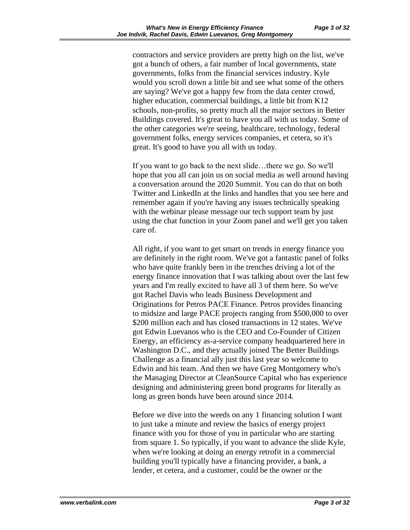contractors and service providers are pretty high on the list, we've got a bunch of others, a fair number of local governments, state governments, folks from the financial services industry. Kyle would you scroll down a little bit and see what some of the others are saying? We've got a happy few from the data center crowd, higher education, commercial buildings, a little bit from K12 schools, non-profits, so pretty much all the major sectors in Better Buildings covered. It's great to have you all with us today. Some of the other categories we're seeing, healthcare, technology, federal government folks, energy services companies, et cetera, so it's great. It's good to have you all with us today.

If you want to go back to the next slide…there we go. So we'll hope that you all can join us on social media as well around having a conversation around the 2020 Summit. You can do that on both Twitter and LinkedIn at the links and handles that you see here and remember again if you're having any issues technically speaking with the webinar please message our tech support team by just using the chat function in your Zoom panel and we'll get you taken care of.

All right, if you want to get smart on trends in energy finance you are definitely in the right room. We've got a fantastic panel of folks who have quite frankly been in the trenches driving a lot of the energy finance innovation that I was talking about over the last few years and I'm really excited to have all 3 of them here. So we've got Rachel Davis who leads Business Development and Originations for Petros PACE Finance. Petros provides financing to midsize and large PACE projects ranging from \$500,000 to over \$200 million each and has closed transactions in 12 states. We've got Edwin Luevanos who is the CEO and Co-Founder of Citizen Energy, an efficiency as-a-service company headquartered here in Washington D.C., and they actually joined The Better Buildings Challenge as a financial ally just this last year so welcome to Edwin and his team. And then we have Greg Montgomery who's the Managing Director at CleanSource Capital who has experience designing and administering green bond programs for literally as long as green bonds have been around since 2014.

Before we dive into the weeds on any 1 financing solution I want to just take a minute and review the basics of energy project finance with you for those of you in particular who are starting from square 1. So typically, if you want to advance the slide Kyle, when we're looking at doing an energy retrofit in a commercial building you'll typically have a financing provider, a bank, a lender, et cetera, and a customer, could be the owner or the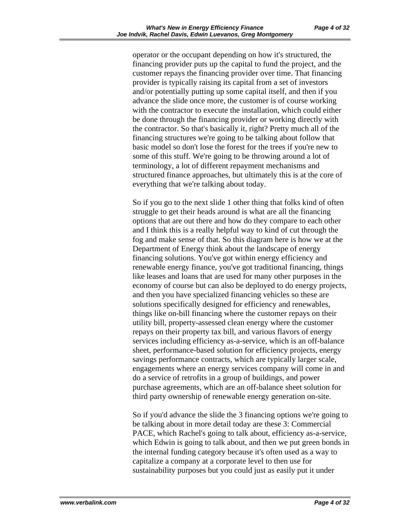operator or the occupant depending on how it's structured, the financing provider puts up the capital to fund the project, and the customer repays the financing provider over time. That financing provider is typically raising its capital from a set of investors and/or potentially putting up some capital itself, and then if you advance the slide once more, the customer is of course working with the contractor to execute the installation, which could either be done through the financing provider or working directly with the contractor. So that's basically it, right? Pretty much all of the financing structures we're going to be talking about follow that basic model so don't lose the forest for the trees if you're new to some of this stuff. We're going to be throwing around a lot of terminology, a lot of different repayment mechanisms and structured finance approaches, but ultimately this is at the core of everything that we're talking about today.

So if you go to the next slide 1 other thing that folks kind of often struggle to get their heads around is what are all the financing options that are out there and how do they compare to each other and I think this is a really helpful way to kind of cut through the fog and make sense of that. So this diagram here is how we at the Department of Energy think about the landscape of energy financing solutions. You've got within energy efficiency and renewable energy finance, you've got traditional financing, things like leases and loans that are used for many other purposes in the economy of course but can also be deployed to do energy projects, and then you have specialized financing vehicles so these are solutions specifically designed for efficiency and renewables, things like on-bill financing where the customer repays on their utility bill, property-assessed clean energy where the customer repays on their property tax bill, and various flavors of energy services including efficiency as-a-service, which is an off-balance sheet, performance-based solution for efficiency projects, energy savings performance contracts, which are typically larger scale, engagements where an energy services company will come in and do a service of retrofits in a group of buildings, and power purchase agreements, which are an off-balance sheet solution for third party ownership of renewable energy generation on-site.

So if you'd advance the slide the 3 financing options we're going to be talking about in more detail today are these 3: Commercial PACE, which Rachel's going to talk about, efficiency as-a-service, which Edwin is going to talk about, and then we put green bonds in the internal funding category because it's often used as a way to capitalize a company at a corporate level to then use for sustainability purposes but you could just as easily put it under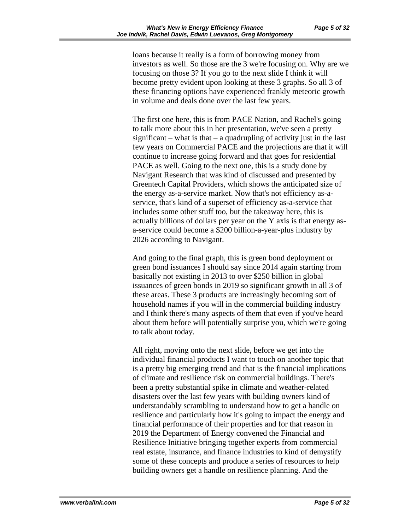loans because it really is a form of borrowing money from investors as well. So those are the 3 we're focusing on. Why are we focusing on those 3? If you go to the next slide I think it will become pretty evident upon looking at these 3 graphs. So all 3 of these financing options have experienced frankly meteoric growth in volume and deals done over the last few years.

The first one here, this is from PACE Nation, and Rachel's going to talk more about this in her presentation, we've seen a pretty significant – what is that – a quadrupling of activity just in the last few years on Commercial PACE and the projections are that it will continue to increase going forward and that goes for residential PACE as well. Going to the next one, this is a study done by Navigant Research that was kind of discussed and presented by Greentech Capital Providers, which shows the anticipated size of the energy as-a-service market. Now that's not efficiency as-aservice, that's kind of a superset of efficiency as-a-service that includes some other stuff too, but the takeaway here, this is actually billions of dollars per year on the Y axis is that energy asa-service could become a \$200 billion-a-year-plus industry by 2026 according to Navigant.

And going to the final graph, this is green bond deployment or green bond issuances I should say since 2014 again starting from basically not existing in 2013 to over \$250 billion in global issuances of green bonds in 2019 so significant growth in all 3 of these areas. These 3 products are increasingly becoming sort of household names if you will in the commercial building industry and I think there's many aspects of them that even if you've heard about them before will potentially surprise you, which we're going to talk about today.

All right, moving onto the next slide, before we get into the individual financial products I want to touch on another topic that is a pretty big emerging trend and that is the financial implications of climate and resilience risk on commercial buildings. There's been a pretty substantial spike in climate and weather-related disasters over the last few years with building owners kind of understandably scrambling to understand how to get a handle on resilience and particularly how it's going to impact the energy and financial performance of their properties and for that reason in 2019 the Department of Energy convened the Financial and Resilience Initiative bringing together experts from commercial real estate, insurance, and finance industries to kind of demystify some of these concepts and produce a series of resources to help building owners get a handle on resilience planning. And the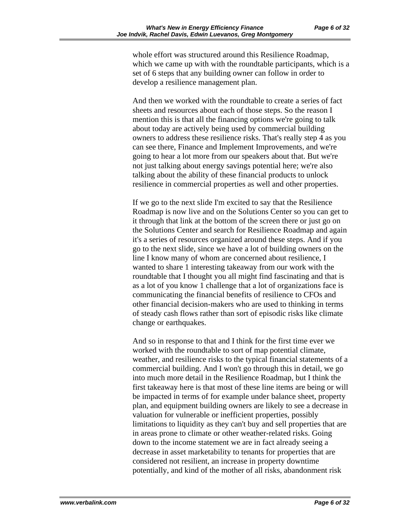whole effort was structured around this Resilience Roadmap, which we came up with with the roundtable participants, which is a set of 6 steps that any building owner can follow in order to develop a resilience management plan.

And then we worked with the roundtable to create a series of fact sheets and resources about each of those steps. So the reason I mention this is that all the financing options we're going to talk about today are actively being used by commercial building owners to address these resilience risks. That's really step 4 as you can see there, Finance and Implement Improvements, and we're going to hear a lot more from our speakers about that. But we're not just talking about energy savings potential here; we're also talking about the ability of these financial products to unlock resilience in commercial properties as well and other properties.

If we go to the next slide I'm excited to say that the Resilience Roadmap is now live and on the Solutions Center so you can get to it through that link at the bottom of the screen there or just go on the Solutions Center and search for Resilience Roadmap and again it's a series of resources organized around these steps. And if you go to the next slide, since we have a lot of building owners on the line I know many of whom are concerned about resilience, I wanted to share 1 interesting takeaway from our work with the roundtable that I thought you all might find fascinating and that is as a lot of you know 1 challenge that a lot of organizations face is communicating the financial benefits of resilience to CFOs and other financial decision-makers who are used to thinking in terms of steady cash flows rather than sort of episodic risks like climate change or earthquakes.

And so in response to that and I think for the first time ever we worked with the roundtable to sort of map potential climate, weather, and resilience risks to the typical financial statements of a commercial building. And I won't go through this in detail, we go into much more detail in the Resilience Roadmap, but I think the first takeaway here is that most of these line items are being or will be impacted in terms of for example under balance sheet, property plan, and equipment building owners are likely to see a decrease in valuation for vulnerable or inefficient properties, possibly limitations to liquidity as they can't buy and sell properties that are in areas prone to climate or other weather-related risks. Going down to the income statement we are in fact already seeing a decrease in asset marketability to tenants for properties that are considered not resilient, an increase in property downtime potentially, and kind of the mother of all risks, abandonment risk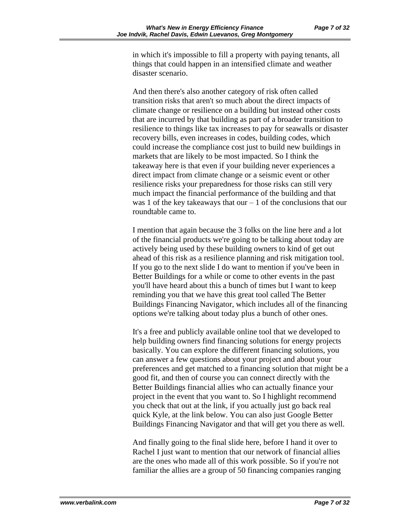in which it's impossible to fill a property with paying tenants, all things that could happen in an intensified climate and weather disaster scenario.

And then there's also another category of risk often called transition risks that aren't so much about the direct impacts of climate change or resilience on a building but instead other costs that are incurred by that building as part of a broader transition to resilience to things like tax increases to pay for seawalls or disaster recovery bills, even increases in codes, building codes, which could increase the compliance cost just to build new buildings in markets that are likely to be most impacted. So I think the takeaway here is that even if your building never experiences a direct impact from climate change or a seismic event or other resilience risks your preparedness for those risks can still very much impact the financial performance of the building and that was 1 of the key takeaways that our  $-1$  of the conclusions that our roundtable came to.

I mention that again because the 3 folks on the line here and a lot of the financial products we're going to be talking about today are actively being used by these building owners to kind of get out ahead of this risk as a resilience planning and risk mitigation tool. If you go to the next slide I do want to mention if you've been in Better Buildings for a while or come to other events in the past you'll have heard about this a bunch of times but I want to keep reminding you that we have this great tool called The Better Buildings Financing Navigator, which includes all of the financing options we're talking about today plus a bunch of other ones.

It's a free and publicly available online tool that we developed to help building owners find financing solutions for energy projects basically. You can explore the different financing solutions, you can answer a few questions about your project and about your preferences and get matched to a financing solution that might be a good fit, and then of course you can connect directly with the Better Buildings financial allies who can actually finance your project in the event that you want to. So I highlight recommend you check that out at the link, if you actually just go back real quick Kyle, at the link below. You can also just Google Better Buildings Financing Navigator and that will get you there as well.

And finally going to the final slide here, before I hand it over to Rachel I just want to mention that our network of financial allies are the ones who made all of this work possible. So if you're not familiar the allies are a group of 50 financing companies ranging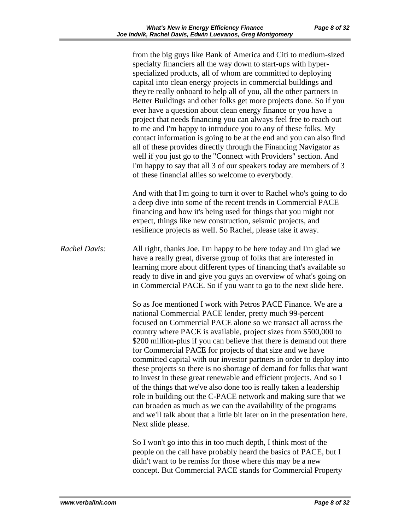from the big guys like Bank of America and Citi to medium-sized specialty financiers all the way down to start-ups with hyperspecialized products, all of whom are committed to deploying capital into clean energy projects in commercial buildings and they're really onboard to help all of you, all the other partners in Better Buildings and other folks get more projects done. So if you ever have a question about clean energy finance or you have a project that needs financing you can always feel free to reach out to me and I'm happy to introduce you to any of these folks. My contact information is going to be at the end and you can also find all of these provides directly through the Financing Navigator as well if you just go to the "Connect with Providers" section. And I'm happy to say that all 3 of our speakers today are members of 3 of these financial allies so welcome to everybody. And with that I'm going to turn it over to Rachel who's going to do a deep dive into some of the recent trends in Commercial PACE financing and how it's being used for things that you might not expect, things like new construction, seismic projects, and resilience projects as well. So Rachel, please take it away. *Rachel Davis:* All right, thanks Joe. I'm happy to be here today and I'm glad we have a really great, diverse group of folks that are interested in learning more about different types of financing that's available so ready to dive in and give you guys an overview of what's going on in Commercial PACE. So if you want to go to the next slide here. So as Joe mentioned I work with Petros PACE Finance. We are a national Commercial PACE lender, pretty much 99-percent focused on Commercial PACE alone so we transact all across the country where PACE is available, project sizes from \$500,000 to \$200 million-plus if you can believe that there is demand out there for Commercial PACE for projects of that size and we have committed capital with our investor partners in order to deploy into these projects so there is no shortage of demand for folks that want to invest in these great renewable and efficient projects. And so 1 of the things that we've also done too is really taken a leadership role in building out the C-PACE network and making sure that we can broaden as much as we can the availability of the programs and we'll talk about that a little bit later on in the presentation here. Next slide please. So I won't go into this in too much depth, I think most of the people on the call have probably heard the basics of PACE, but I didn't want to be remiss for those where this may be a new concept. But Commercial PACE stands for Commercial Property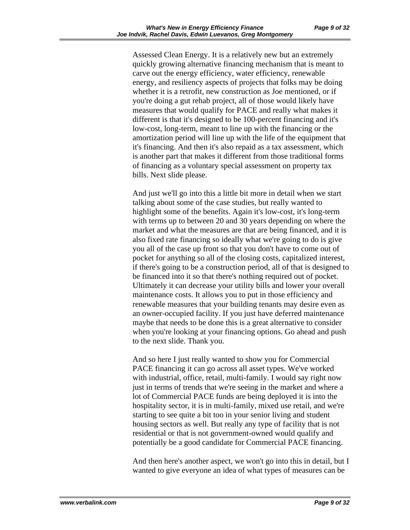Assessed Clean Energy. It is a relatively new but an extremely quickly growing alternative financing mechanism that is meant to carve out the energy efficiency, water efficiency, renewable energy, and resiliency aspects of projects that folks may be doing whether it is a retrofit, new construction as Joe mentioned, or if you're doing a gut rehab project, all of those would likely have measures that would qualify for PACE and really what makes it different is that it's designed to be 100-percent financing and it's low-cost, long-term, meant to line up with the financing or the amortization period will line up with the life of the equipment that it's financing. And then it's also repaid as a tax assessment, which is another part that makes it different from those traditional forms of financing as a voluntary special assessment on property tax bills. Next slide please.

And just we'll go into this a little bit more in detail when we start talking about some of the case studies, but really wanted to highlight some of the benefits. Again it's low-cost, it's long-term with terms up to between 20 and 30 years depending on where the market and what the measures are that are being financed, and it is also fixed rate financing so ideally what we're going to do is give you all of the case up front so that you don't have to come out of pocket for anything so all of the closing costs, capitalized interest, if there's going to be a construction period, all of that is designed to be financed into it so that there's nothing required out of pocket. Ultimately it can decrease your utility bills and lower your overall maintenance costs. It allows you to put in those efficiency and renewable measures that your building tenants may desire even as an owner-occupied facility. If you just have deferred maintenance maybe that needs to be done this is a great alternative to consider when you're looking at your financing options. Go ahead and push to the next slide. Thank you.

And so here I just really wanted to show you for Commercial PACE financing it can go across all asset types. We've worked with industrial, office, retail, multi-family. I would say right now just in terms of trends that we're seeing in the market and where a lot of Commercial PACE funds are being deployed it is into the hospitality sector, it is in multi-family, mixed use retail, and we're starting to see quite a bit too in your senior living and student housing sectors as well. But really any type of facility that is not residential or that is not government-owned would qualify and potentially be a good candidate for Commercial PACE financing.

And then here's another aspect, we won't go into this in detail, but I wanted to give everyone an idea of what types of measures can be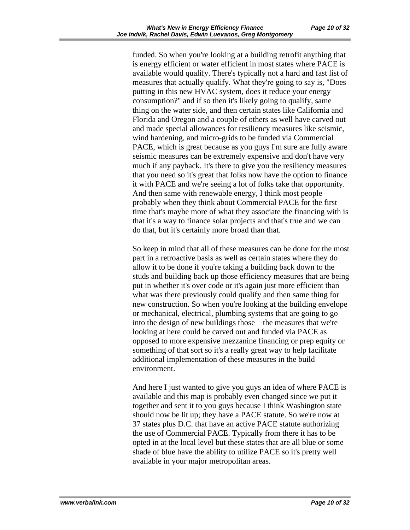funded. So when you're looking at a building retrofit anything that is energy efficient or water efficient in most states where PACE is available would qualify. There's typically not a hard and fast list of measures that actually qualify. What they're going to say is, "Does putting in this new HVAC system, does it reduce your energy consumption?" and if so then it's likely going to qualify, same thing on the water side, and then certain states like California and Florida and Oregon and a couple of others as well have carved out and made special allowances for resiliency measures like seismic, wind hardening, and micro-grids to be funded via Commercial PACE, which is great because as you guys I'm sure are fully aware seismic measures can be extremely expensive and don't have very much if any payback. It's there to give you the resiliency measures that you need so it's great that folks now have the option to finance it with PACE and we're seeing a lot of folks take that opportunity. And then same with renewable energy, I think most people probably when they think about Commercial PACE for the first time that's maybe more of what they associate the financing with is that it's a way to finance solar projects and that's true and we can do that, but it's certainly more broad than that.

So keep in mind that all of these measures can be done for the most part in a retroactive basis as well as certain states where they do allow it to be done if you're taking a building back down to the studs and building back up those efficiency measures that are being put in whether it's over code or it's again just more efficient than what was there previously could qualify and then same thing for new construction. So when you're looking at the building envelope or mechanical, electrical, plumbing systems that are going to go into the design of new buildings those – the measures that we're looking at here could be carved out and funded via PACE as opposed to more expensive mezzanine financing or prep equity or something of that sort so it's a really great way to help facilitate additional implementation of these measures in the build environment.

And here I just wanted to give you guys an idea of where PACE is available and this map is probably even changed since we put it together and sent it to you guys because I think Washington state should now be lit up; they have a PACE statute. So we're now at 37 states plus D.C. that have an active PACE statute authorizing the use of Commercial PACE. Typically from there it has to be opted in at the local level but these states that are all blue or some shade of blue have the ability to utilize PACE so it's pretty well available in your major metropolitan areas.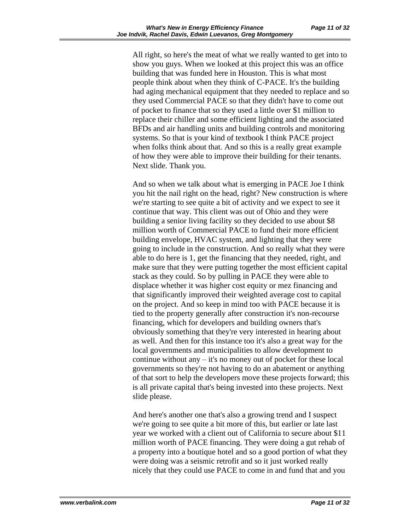All right, so here's the meat of what we really wanted to get into to show you guys. When we looked at this project this was an office building that was funded here in Houston. This is what most people think about when they think of C-PACE. It's the building had aging mechanical equipment that they needed to replace and so they used Commercial PACE so that they didn't have to come out of pocket to finance that so they used a little over \$1 million to replace their chiller and some efficient lighting and the associated BFDs and air handling units and building controls and monitoring systems. So that is your kind of textbook I think PACE project when folks think about that. And so this is a really great example of how they were able to improve their building for their tenants. Next slide. Thank you.

And so when we talk about what is emerging in PACE Joe I think you hit the nail right on the head, right? New construction is where we're starting to see quite a bit of activity and we expect to see it continue that way. This client was out of Ohio and they were building a senior living facility so they decided to use about \$8 million worth of Commercial PACE to fund their more efficient building envelope, HVAC system, and lighting that they were going to include in the construction. And so really what they were able to do here is 1, get the financing that they needed, right, and make sure that they were putting together the most efficient capital stack as they could. So by pulling in PACE they were able to displace whether it was higher cost equity or mez financing and that significantly improved their weighted average cost to capital on the project. And so keep in mind too with PACE because it is tied to the property generally after construction it's non-recourse financing, which for developers and building owners that's obviously something that they're very interested in hearing about as well. And then for this instance too it's also a great way for the local governments and municipalities to allow development to continue without any – it's no money out of pocket for these local governments so they're not having to do an abatement or anything of that sort to help the developers move these projects forward; this is all private capital that's being invested into these projects. Next slide please.

And here's another one that's also a growing trend and I suspect we're going to see quite a bit more of this, but earlier or late last year we worked with a client out of California to secure about \$11 million worth of PACE financing. They were doing a gut rehab of a property into a boutique hotel and so a good portion of what they were doing was a seismic retrofit and so it just worked really nicely that they could use PACE to come in and fund that and you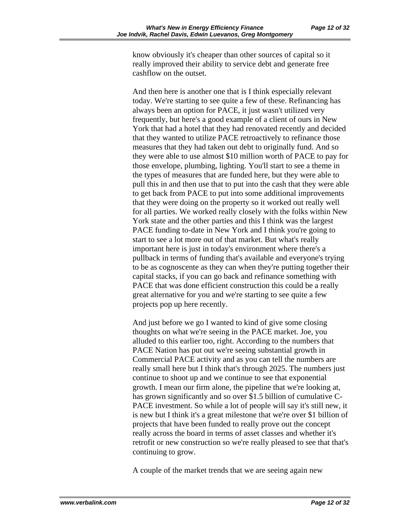know obviously it's cheaper than other sources of capital so it really improved their ability to service debt and generate free cashflow on the outset.

And then here is another one that is I think especially relevant today. We're starting to see quite a few of these. Refinancing has always been an option for PACE, it just wasn't utilized very frequently, but here's a good example of a client of ours in New York that had a hotel that they had renovated recently and decided that they wanted to utilize PACE retroactively to refinance those measures that they had taken out debt to originally fund. And so they were able to use almost \$10 million worth of PACE to pay for those envelope, plumbing, lighting. You'll start to see a theme in the types of measures that are funded here, but they were able to pull this in and then use that to put into the cash that they were able to get back from PACE to put into some additional improvements that they were doing on the property so it worked out really well for all parties. We worked really closely with the folks within New York state and the other parties and this I think was the largest PACE funding to-date in New York and I think you're going to start to see a lot more out of that market. But what's really important here is just in today's environment where there's a pullback in terms of funding that's available and everyone's trying to be as cognoscente as they can when they're putting together their capital stacks, if you can go back and refinance something with PACE that was done efficient construction this could be a really great alternative for you and we're starting to see quite a few projects pop up here recently.

And just before we go I wanted to kind of give some closing thoughts on what we're seeing in the PACE market. Joe, you alluded to this earlier too, right. According to the numbers that PACE Nation has put out we're seeing substantial growth in Commercial PACE activity and as you can tell the numbers are really small here but I think that's through 2025. The numbers just continue to shoot up and we continue to see that exponential growth. I mean our firm alone, the pipeline that we're looking at, has grown significantly and so over \$1.5 billion of cumulative C-PACE investment. So while a lot of people will say it's still new, it is new but I think it's a great milestone that we're over \$1 billion of projects that have been funded to really prove out the concept really across the board in terms of asset classes and whether it's retrofit or new construction so we're really pleased to see that that's continuing to grow.

A couple of the market trends that we are seeing again new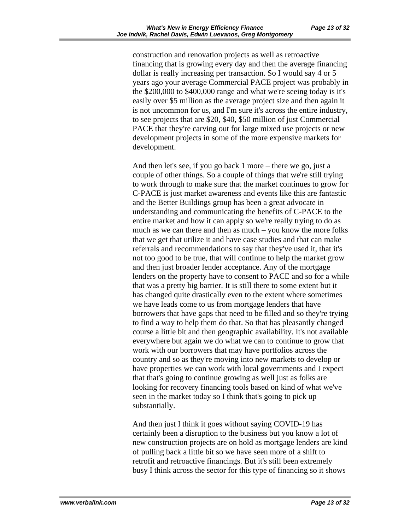construction and renovation projects as well as retroactive financing that is growing every day and then the average financing dollar is really increasing per transaction. So I would say 4 or 5 years ago your average Commercial PACE project was probably in the \$200,000 to \$400,000 range and what we're seeing today is it's easily over \$5 million as the average project size and then again it is not uncommon for us, and I'm sure it's across the entire industry, to see projects that are \$20, \$40, \$50 million of just Commercial PACE that they're carving out for large mixed use projects or new development projects in some of the more expensive markets for development.

And then let's see, if you go back 1 more – there we go, just a couple of other things. So a couple of things that we're still trying to work through to make sure that the market continues to grow for C-PACE is just market awareness and events like this are fantastic and the Better Buildings group has been a great advocate in understanding and communicating the benefits of C-PACE to the entire market and how it can apply so we're really trying to do as much as we can there and then as much – you know the more folks that we get that utilize it and have case studies and that can make referrals and recommendations to say that they've used it, that it's not too good to be true, that will continue to help the market grow and then just broader lender acceptance. Any of the mortgage lenders on the property have to consent to PACE and so for a while that was a pretty big barrier. It is still there to some extent but it has changed quite drastically even to the extent where sometimes we have leads come to us from mortgage lenders that have borrowers that have gaps that need to be filled and so they're trying to find a way to help them do that. So that has pleasantly changed course a little bit and then geographic availability. It's not available everywhere but again we do what we can to continue to grow that work with our borrowers that may have portfolios across the country and so as they're moving into new markets to develop or have properties we can work with local governments and I expect that that's going to continue growing as well just as folks are looking for recovery financing tools based on kind of what we've seen in the market today so I think that's going to pick up substantially.

And then just I think it goes without saying COVID-19 has certainly been a disruption to the business but you know a lot of new construction projects are on hold as mortgage lenders are kind of pulling back a little bit so we have seen more of a shift to retrofit and retroactive financings. But it's still been extremely busy I think across the sector for this type of financing so it shows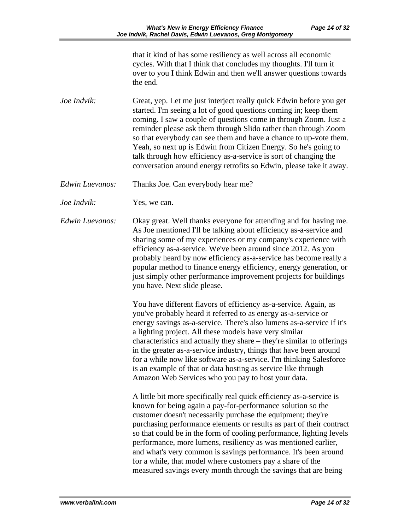that it kind of has some resiliency as well across all economic cycles. With that I think that concludes my thoughts. I'll turn it over to you I think Edwin and then we'll answer questions towards the end.

*Joe Indvik:* Great, yep. Let me just interject really quick Edwin before you get started. I'm seeing a lot of good questions coming in; keep them coming. I saw a couple of questions come in through Zoom. Just a reminder please ask them through Slido rather than through Zoom so that everybody can see them and have a chance to up-vote them. Yeah, so next up is Edwin from Citizen Energy. So he's going to talk through how efficiency as-a-service is sort of changing the conversation around energy retrofits so Edwin, please take it away.

*Edwin Luevanos:* Thanks Joe. Can everybody hear me?

*Joe Indvik:* Yes, we can.

*Edwin Luevanos:* Okay great. Well thanks everyone for attending and for having me. As Joe mentioned I'll be talking about efficiency as-a-service and sharing some of my experiences or my company's experience with efficiency as-a-service. We've been around since 2012. As you probably heard by now efficiency as-a-service has become really a popular method to finance energy efficiency, energy generation, or just simply other performance improvement projects for buildings you have. Next slide please.

> You have different flavors of efficiency as-a-service. Again, as you've probably heard it referred to as energy as-a-service or energy savings as-a-service. There's also lumens as-a-service if it's a lighting project. All these models have very similar characteristics and actually they share – they're similar to offerings in the greater as-a-service industry, things that have been around for a while now like software as-a-service. I'm thinking Salesforce is an example of that or data hosting as service like through Amazon Web Services who you pay to host your data.

> A little bit more specifically real quick efficiency as-a-service is known for being again a pay-for-performance solution so the customer doesn't necessarily purchase the equipment; they're purchasing performance elements or results as part of their contract so that could be in the form of cooling performance, lighting levels performance, more lumens, resiliency as was mentioned earlier, and what's very common is savings performance. It's been around for a while, that model where customers pay a share of the measured savings every month through the savings that are being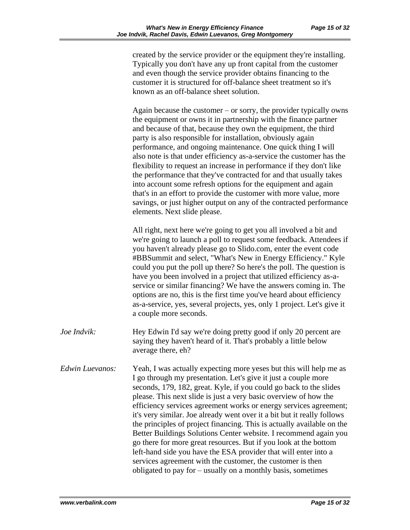created by the service provider or the equipment they're installing. Typically you don't have any up front capital from the customer and even though the service provider obtains financing to the customer it is structured for off-balance sheet treatment so it's known as an off-balance sheet solution.

Again because the customer – or sorry, the provider typically owns the equipment or owns it in partnership with the finance partner and because of that, because they own the equipment, the third party is also responsible for installation, obviously again performance, and ongoing maintenance. One quick thing I will also note is that under efficiency as-a-service the customer has the flexibility to request an increase in performance if they don't like the performance that they've contracted for and that usually takes into account some refresh options for the equipment and again that's in an effort to provide the customer with more value, more savings, or just higher output on any of the contracted performance elements. Next slide please.

All right, next here we're going to get you all involved a bit and we're going to launch a poll to request some feedback. Attendees if you haven't already please go to Slido.com, enter the event code #BBSummit and select, "What's New in Energy Efficiency." Kyle could you put the poll up there? So here's the poll. The question is have you been involved in a project that utilized efficiency as-aservice or similar financing? We have the answers coming in. The options are no, this is the first time you've heard about efficiency as-a-service, yes, several projects, yes, only 1 project. Let's give it a couple more seconds.

*Joe Indvik:* Hey Edwin I'd say we're doing pretty good if only 20 percent are saying they haven't heard of it. That's probably a little below average there, eh?

*Edwin Luevanos:* Yeah, I was actually expecting more yeses but this will help me as I go through my presentation. Let's give it just a couple more seconds, 179, 182, great. Kyle, if you could go back to the slides please. This next slide is just a very basic overview of how the efficiency services agreement works or energy services agreement; it's very similar. Joe already went over it a bit but it really follows the principles of project financing. This is actually available on the Better Buildings Solutions Center website. I recommend again you go there for more great resources. But if you look at the bottom left-hand side you have the ESA provider that will enter into a services agreement with the customer, the customer is then obligated to pay for – usually on a monthly basis, sometimes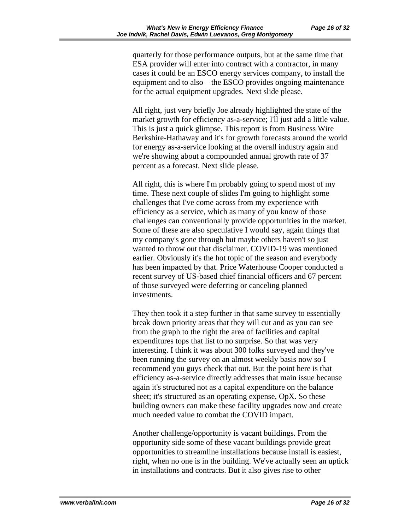quarterly for those performance outputs, but at the same time that ESA provider will enter into contract with a contractor, in many cases it could be an ESCO energy services company, to install the equipment and to also – the ESCO provides ongoing maintenance for the actual equipment upgrades. Next slide please.

All right, just very briefly Joe already highlighted the state of the market growth for efficiency as-a-service; I'll just add a little value. This is just a quick glimpse. This report is from Business Wire Berkshire-Hathaway and it's for growth forecasts around the world for energy as-a-service looking at the overall industry again and we're showing about a compounded annual growth rate of 37 percent as a forecast. Next slide please.

All right, this is where I'm probably going to spend most of my time. These next couple of slides I'm going to highlight some challenges that I've come across from my experience with efficiency as a service, which as many of you know of those challenges can conventionally provide opportunities in the market. Some of these are also speculative I would say, again things that my company's gone through but maybe others haven't so just wanted to throw out that disclaimer. COVID-19 was mentioned earlier. Obviously it's the hot topic of the season and everybody has been impacted by that. Price Waterhouse Cooper conducted a recent survey of US-based chief financial officers and 67 percent of those surveyed were deferring or canceling planned investments.

They then took it a step further in that same survey to essentially break down priority areas that they will cut and as you can see from the graph to the right the area of facilities and capital expenditures tops that list to no surprise. So that was very interesting. I think it was about 300 folks surveyed and they've been running the survey on an almost weekly basis now so I recommend you guys check that out. But the point here is that efficiency as-a-service directly addresses that main issue because again it's structured not as a capital expenditure on the balance sheet; it's structured as an operating expense, OpX. So these building owners can make these facility upgrades now and create much needed value to combat the COVID impact.

Another challenge/opportunity is vacant buildings. From the opportunity side some of these vacant buildings provide great opportunities to streamline installations because install is easiest, right, when no one is in the building. We've actually seen an uptick in installations and contracts. But it also gives rise to other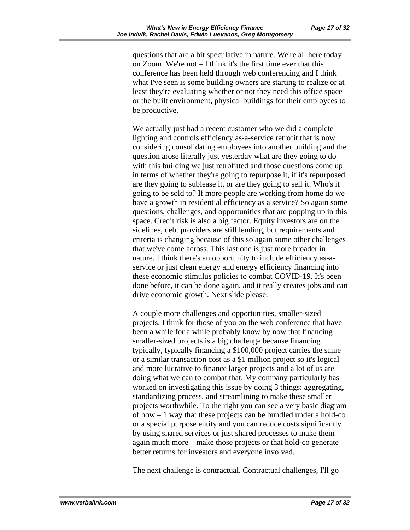questions that are a bit speculative in nature. We're all here today on Zoom. We're not – I think it's the first time ever that this conference has been held through web conferencing and I think what I've seen is some building owners are starting to realize or at least they're evaluating whether or not they need this office space or the built environment, physical buildings for their employees to be productive.

We actually just had a recent customer who we did a complete lighting and controls efficiency as-a-service retrofit that is now considering consolidating employees into another building and the question arose literally just yesterday what are they going to do with this building we just retrofitted and those questions come up in terms of whether they're going to repurpose it, if it's repurposed are they going to sublease it, or are they going to sell it. Who's it going to be sold to? If more people are working from home do we have a growth in residential efficiency as a service? So again some questions, challenges, and opportunities that are popping up in this space. Credit risk is also a big factor. Equity investors are on the sidelines, debt providers are still lending, but requirements and criteria is changing because of this so again some other challenges that we've come across. This last one is just more broader in nature. I think there's an opportunity to include efficiency as-aservice or just clean energy and energy efficiency financing into these economic stimulus policies to combat COVID-19. It's been done before, it can be done again, and it really creates jobs and can drive economic growth. Next slide please.

A couple more challenges and opportunities, smaller-sized projects. I think for those of you on the web conference that have been a while for a while probably know by now that financing smaller-sized projects is a big challenge because financing typically, typically financing a \$100,000 project carries the same or a similar transaction cost as a \$1 million project so it's logical and more lucrative to finance larger projects and a lot of us are doing what we can to combat that. My company particularly has worked on investigating this issue by doing 3 things: aggregating, standardizing process, and streamlining to make these smaller projects worthwhile. To the right you can see a very basic diagram of how – 1 way that these projects can be bundled under a hold-co or a special purpose entity and you can reduce costs significantly by using shared services or just shared processes to make them again much more – make those projects or that hold-co generate better returns for investors and everyone involved.

The next challenge is contractual. Contractual challenges, I'll go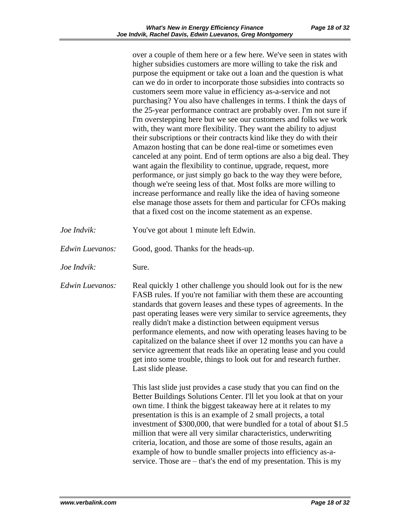over a couple of them here or a few here. We've seen in states with higher subsidies customers are more willing to take the risk and purpose the equipment or take out a loan and the question is what can we do in order to incorporate those subsidies into contracts so customers seem more value in efficiency as-a-service and not purchasing? You also have challenges in terms. I think the days of the 25-year performance contract are probably over. I'm not sure if I'm overstepping here but we see our customers and folks we work with, they want more flexibility. They want the ability to adjust their subscriptions or their contracts kind like they do with their Amazon hosting that can be done real-time or sometimes even canceled at any point. End of term options are also a big deal. They want again the flexibility to continue, upgrade, request, more performance, or just simply go back to the way they were before, though we're seeing less of that. Most folks are more willing to increase performance and really like the idea of having someone else manage those assets for them and particular for CFOs making that a fixed cost on the income statement as an expense.

- *Joe Indvik:* You've got about 1 minute left Edwin.
- *Edwin Luevanos:* Good, good. Thanks for the heads-up.
- *Joe Indvik:* Sure.

*Edwin Luevanos:* Real quickly 1 other challenge you should look out for is the new FASB rules. If you're not familiar with them these are accounting standards that govern leases and these types of agreements. In the past operating leases were very similar to service agreements, they really didn't make a distinction between equipment versus performance elements, and now with operating leases having to be capitalized on the balance sheet if over 12 months you can have a service agreement that reads like an operating lease and you could get into some trouble, things to look out for and research further. Last slide please.

> This last slide just provides a case study that you can find on the Better Buildings Solutions Center. I'll let you look at that on your own time. I think the biggest takeaway here at it relates to my presentation is this is an example of 2 small projects, a total investment of \$300,000, that were bundled for a total of about \$1.5 million that were all very similar characteristics, underwriting criteria, location, and those are some of those results, again an example of how to bundle smaller projects into efficiency as-aservice. Those are – that's the end of my presentation. This is my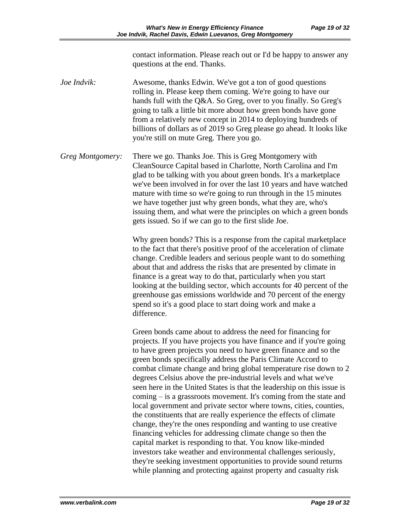contact information. Please reach out or I'd be happy to answer any questions at the end. Thanks.

- *Joe Indvik:* Awesome, thanks Edwin. We've got a ton of good questions rolling in. Please keep them coming. We're going to have our hands full with the Q&A. So Greg, over to you finally. So Greg's going to talk a little bit more about how green bonds have gone from a relatively new concept in 2014 to deploying hundreds of billions of dollars as of 2019 so Greg please go ahead. It looks like you're still on mute Greg. There you go.
- *Greg Montgomery:* There we go. Thanks Joe. This is Greg Montgomery with CleanSource Capital based in Charlotte, North Carolina and I'm glad to be talking with you about green bonds. It's a marketplace we've been involved in for over the last 10 years and have watched mature with time so we're going to run through in the 15 minutes we have together just why green bonds, what they are, who's issuing them, and what were the principles on which a green bonds gets issued. So if we can go to the first slide Joe.

Why green bonds? This is a response from the capital marketplace to the fact that there's positive proof of the acceleration of climate change. Credible leaders and serious people want to do something about that and address the risks that are presented by climate in finance is a great way to do that, particularly when you start looking at the building sector, which accounts for 40 percent of the greenhouse gas emissions worldwide and 70 percent of the energy spend so it's a good place to start doing work and make a difference.

Green bonds came about to address the need for financing for projects. If you have projects you have finance and if you're going to have green projects you need to have green finance and so the green bonds specifically address the Paris Climate Accord to combat climate change and bring global temperature rise down to 2 degrees Celsius above the pre-industrial levels and what we've seen here in the United States is that the leadership on this issue is coming – is a grassroots movement. It's coming from the state and local government and private sector where towns, cities, counties, the constituents that are really experience the effects of climate change, they're the ones responding and wanting to use creative financing vehicles for addressing climate change so then the capital market is responding to that. You know like-minded investors take weather and environmental challenges seriously, they're seeking investment opportunities to provide sound returns while planning and protecting against property and casualty risk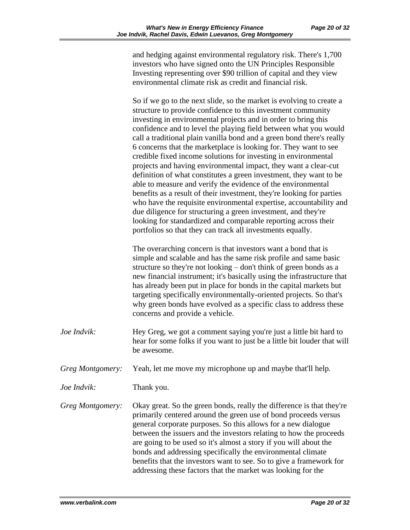and hedging against environmental regulatory risk. There's 1,700 investors who have signed onto the UN Principles Responsible Investing representing over \$90 trillion of capital and they view environmental climate risk as credit and financial risk.

So if we go to the next slide, so the market is evolving to create a structure to provide confidence to this investment community investing in environmental projects and in order to bring this confidence and to level the playing field between what you would call a traditional plain vanilla bond and a green bond there's really 6 concerns that the marketplace is looking for. They want to see credible fixed income solutions for investing in environmental projects and having environmental impact, they want a clear-cut definition of what constitutes a green investment, they want to be able to measure and verify the evidence of the environmental benefits as a result of their investment, they're looking for parties who have the requisite environmental expertise, accountability and due diligence for structuring a green investment, and they're looking for standardized and comparable reporting across their portfolios so that they can track all investments equally.

The overarching concern is that investors want a bond that is simple and scalable and has the same risk profile and same basic structure so they're not looking – don't think of green bonds as a new financial instrument; it's basically using the infrastructure that has already been put in place for bonds in the capital markets but targeting specifically environmentally-oriented projects. So that's why green bonds have evolved as a specific class to address these concerns and provide a vehicle.

- *Joe Indvik:* Hey Greg, we got a comment saying you're just a little bit hard to hear for some folks if you want to just be a little bit louder that will be awesome.
- *Greg Montgomery:* Yeah, let me move my microphone up and maybe that'll help.
- *Joe Indvik:* Thank you.

*Greg Montgomery:* Okay great. So the green bonds, really the difference is that they're primarily centered around the green use of bond proceeds versus general corporate purposes. So this allows for a new dialogue between the issuers and the investors relating to how the proceeds are going to be used so it's almost a story if you will about the bonds and addressing specifically the environmental climate benefits that the investors want to see. So to give a framework for addressing these factors that the market was looking for the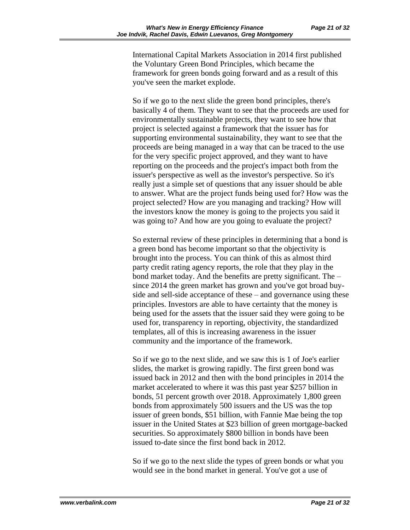International Capital Markets Association in 2014 first published the Voluntary Green Bond Principles, which became the framework for green bonds going forward and as a result of this you've seen the market explode.

So if we go to the next slide the green bond principles, there's basically 4 of them. They want to see that the proceeds are used for environmentally sustainable projects, they want to see how that project is selected against a framework that the issuer has for supporting environmental sustainability, they want to see that the proceeds are being managed in a way that can be traced to the use for the very specific project approved, and they want to have reporting on the proceeds and the project's impact both from the issuer's perspective as well as the investor's perspective. So it's really just a simple set of questions that any issuer should be able to answer. What are the project funds being used for? How was the project selected? How are you managing and tracking? How will the investors know the money is going to the projects you said it was going to? And how are you going to evaluate the project?

So external review of these principles in determining that a bond is a green bond has become important so that the objectivity is brought into the process. You can think of this as almost third party credit rating agency reports, the role that they play in the bond market today. And the benefits are pretty significant. The – since 2014 the green market has grown and you've got broad buyside and sell-side acceptance of these – and governance using these principles. Investors are able to have certainty that the money is being used for the assets that the issuer said they were going to be used for, transparency in reporting, objectivity, the standardized templates, all of this is increasing awareness in the issuer community and the importance of the framework.

So if we go to the next slide, and we saw this is 1 of Joe's earlier slides, the market is growing rapidly. The first green bond was issued back in 2012 and then with the bond principles in 2014 the market accelerated to where it was this past year \$257 billion in bonds, 51 percent growth over 2018. Approximately 1,800 green bonds from approximately 500 issuers and the US was the top issuer of green bonds, \$51 billion, with Fannie Mae being the top issuer in the United States at \$23 billion of green mortgage-backed securities. So approximately \$800 billion in bonds have been issued to-date since the first bond back in 2012.

So if we go to the next slide the types of green bonds or what you would see in the bond market in general. You've got a use of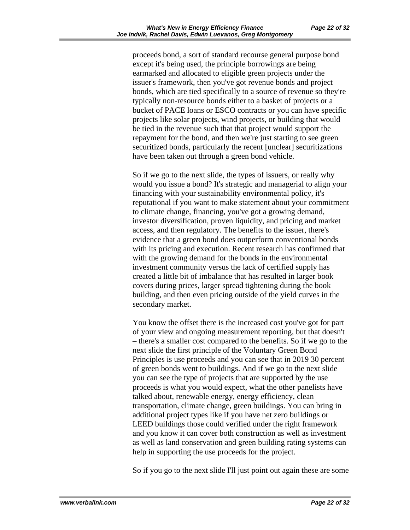proceeds bond, a sort of standard recourse general purpose bond except it's being used, the principle borrowings are being earmarked and allocated to eligible green projects under the issuer's framework, then you've got revenue bonds and project bonds, which are tied specifically to a source of revenue so they're typically non-resource bonds either to a basket of projects or a bucket of PACE loans or ESCO contracts or you can have specific projects like solar projects, wind projects, or building that would be tied in the revenue such that that project would support the repayment for the bond, and then we're just starting to see green securitized bonds, particularly the recent [unclear] securitizations have been taken out through a green bond vehicle.

So if we go to the next slide, the types of issuers, or really why would you issue a bond? It's strategic and managerial to align your financing with your sustainability environmental policy, it's reputational if you want to make statement about your commitment to climate change, financing, you've got a growing demand, investor diversification, proven liquidity, and pricing and market access, and then regulatory. The benefits to the issuer, there's evidence that a green bond does outperform conventional bonds with its pricing and execution. Recent research has confirmed that with the growing demand for the bonds in the environmental investment community versus the lack of certified supply has created a little bit of imbalance that has resulted in larger book covers during prices, larger spread tightening during the book building, and then even pricing outside of the yield curves in the secondary market.

You know the offset there is the increased cost you've got for part of your view and ongoing measurement reporting, but that doesn't – there's a smaller cost compared to the benefits. So if we go to the next slide the first principle of the Voluntary Green Bond Principles is use proceeds and you can see that in 2019 30 percent of green bonds went to buildings. And if we go to the next slide you can see the type of projects that are supported by the use proceeds is what you would expect, what the other panelists have talked about, renewable energy, energy efficiency, clean transportation, climate change, green buildings. You can bring in additional project types like if you have net zero buildings or LEED buildings those could verified under the right framework and you know it can cover both construction as well as investment as well as land conservation and green building rating systems can help in supporting the use proceeds for the project.

So if you go to the next slide I'll just point out again these are some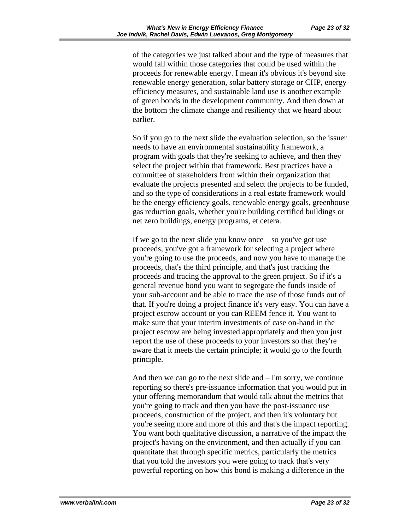of the categories we just talked about and the type of measures that would fall within those categories that could be used within the proceeds for renewable energy. I mean it's obvious it's beyond site renewable energy generation, solar battery storage or CHP, energy efficiency measures, and sustainable land use is another example of green bonds in the development community. And then down at the bottom the climate change and resiliency that we heard about earlier.

So if you go to the next slide the evaluation selection, so the issuer needs to have an environmental sustainability framework, a program with goals that they're seeking to achieve, and then they select the project within that framework. Best practices have a committee of stakeholders from within their organization that evaluate the projects presented and select the projects to be funded, and so the type of considerations in a real estate framework would be the energy efficiency goals, renewable energy goals, greenhouse gas reduction goals, whether you're building certified buildings or net zero buildings, energy programs, et cetera.

If we go to the next slide you know once  $-$  so you've got use proceeds, you've got a framework for selecting a project where you're going to use the proceeds, and now you have to manage the proceeds, that's the third principle, and that's just tracking the proceeds and tracing the approval to the green project. So if it's a general revenue bond you want to segregate the funds inside of your sub-account and be able to trace the use of those funds out of that. If you're doing a project finance it's very easy. You can have a project escrow account or you can REEM fence it. You want to make sure that your interim investments of case on-hand in the project escrow are being invested appropriately and then you just report the use of these proceeds to your investors so that they're aware that it meets the certain principle; it would go to the fourth principle.

And then we can go to the next slide and  $-I'm$  sorry, we continue reporting so there's pre-issuance information that you would put in your offering memorandum that would talk about the metrics that you're going to track and then you have the post-issuance use proceeds, construction of the project, and then it's voluntary but you're seeing more and more of this and that's the impact reporting. You want both qualitative discussion, a narrative of the impact the project's having on the environment, and then actually if you can quantitate that through specific metrics, particularly the metrics that you told the investors you were going to track that's very powerful reporting on how this bond is making a difference in the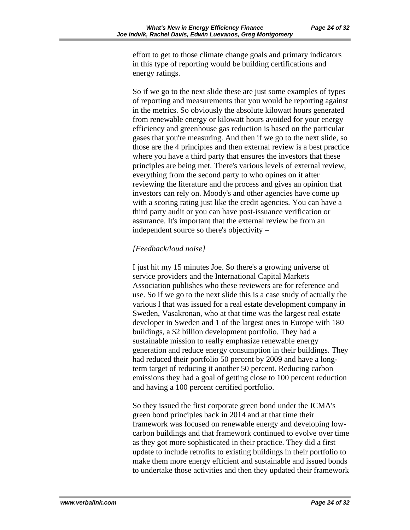effort to get to those climate change goals and primary indicators in this type of reporting would be building certifications and energy ratings.

So if we go to the next slide these are just some examples of types of reporting and measurements that you would be reporting against in the metrics. So obviously the absolute kilowatt hours generated from renewable energy or kilowatt hours avoided for your energy efficiency and greenhouse gas reduction is based on the particular gases that you're measuring. And then if we go to the next slide, so those are the 4 principles and then external review is a best practice where you have a third party that ensures the investors that these principles are being met. There's various levels of external review, everything from the second party to who opines on it after reviewing the literature and the process and gives an opinion that investors can rely on. Moody's and other agencies have come up with a scoring rating just like the credit agencies. You can have a third party audit or you can have post-issuance verification or assurance. It's important that the external review be from an independent source so there's objectivity –

## *[Feedback/loud noise]*

I just hit my 15 minutes Joe. So there's a growing universe of service providers and the International Capital Markets Association publishes who these reviewers are for reference and use. So if we go to the next slide this is a case study of actually the various l that was issued for a real estate development company in Sweden, Vasakronan, who at that time was the largest real estate developer in Sweden and 1 of the largest ones in Europe with 180 buildings, a \$2 billion development portfolio. They had a sustainable mission to really emphasize renewable energy generation and reduce energy consumption in their buildings. They had reduced their portfolio 50 percent by 2009 and have a longterm target of reducing it another 50 percent. Reducing carbon emissions they had a goal of getting close to 100 percent reduction and having a 100 percent certified portfolio.

So they issued the first corporate green bond under the ICMA's green bond principles back in 2014 and at that time their framework was focused on renewable energy and developing lowcarbon buildings and that framework continued to evolve over time as they got more sophisticated in their practice. They did a first update to include retrofits to existing buildings in their portfolio to make them more energy efficient and sustainable and issued bonds to undertake those activities and then they updated their framework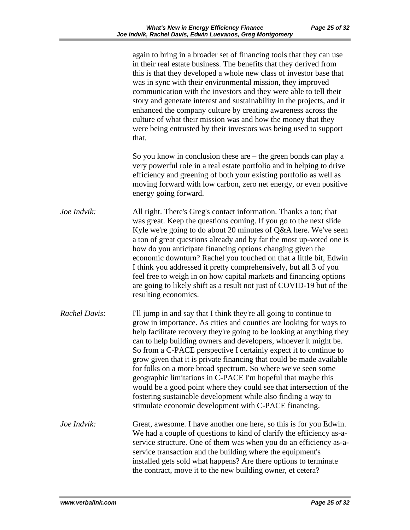|                      | again to bring in a broader set of financing tools that they can use<br>in their real estate business. The benefits that they derived from<br>this is that they developed a whole new class of investor base that<br>was in sync with their environmental mission, they improved<br>communication with the investors and they were able to tell their<br>story and generate interest and sustainability in the projects, and it<br>enhanced the company culture by creating awareness across the<br>culture of what their mission was and how the money that they<br>were being entrusted by their investors was being used to support<br>that.                                                                                                                     |
|----------------------|---------------------------------------------------------------------------------------------------------------------------------------------------------------------------------------------------------------------------------------------------------------------------------------------------------------------------------------------------------------------------------------------------------------------------------------------------------------------------------------------------------------------------------------------------------------------------------------------------------------------------------------------------------------------------------------------------------------------------------------------------------------------|
|                      | So you know in conclusion these are $-$ the green bonds can play a<br>very powerful role in a real estate portfolio and in helping to drive<br>efficiency and greening of both your existing portfolio as well as<br>moving forward with low carbon, zero net energy, or even positive<br>energy going forward.                                                                                                                                                                                                                                                                                                                                                                                                                                                     |
| Joe Indvik:          | All right. There's Greg's contact information. Thanks a ton; that<br>was great. Keep the questions coming. If you go to the next slide<br>Kyle we're going to do about 20 minutes of Q&A here. We've seen<br>a ton of great questions already and by far the most up-voted one is<br>how do you anticipate financing options changing given the<br>economic downturn? Rachel you touched on that a little bit, Edwin<br>I think you addressed it pretty comprehensively, but all 3 of you<br>feel free to weigh in on how capital markets and financing options<br>are going to likely shift as a result not just of COVID-19 but of the<br>resulting economics.                                                                                                    |
| <b>Rachel Davis:</b> | I'll jump in and say that I think they're all going to continue to<br>grow in importance. As cities and counties are looking for ways to<br>help facilitate recovery they're going to be looking at anything they<br>can to help building owners and developers, whoever it might be.<br>So from a C-PACE perspective I certainly expect it to continue to<br>grow given that it is private financing that could be made available<br>for folks on a more broad spectrum. So where we've seen some<br>geographic limitations in C-PACE I'm hopeful that maybe this<br>would be a good point where they could see that intersection of the<br>fostering sustainable development while also finding a way to<br>stimulate economic development with C-PACE financing. |
| Joe Indvik:          | Great, awesome. I have another one here, so this is for you Edwin.<br>We had a couple of questions to kind of clarify the efficiency as-a-<br>service structure. One of them was when you do an efficiency as-a-<br>service transaction and the building where the equipment's<br>installed gets sold what happens? Are there options to terminate<br>the contract, move it to the new building owner, et cetera?                                                                                                                                                                                                                                                                                                                                                   |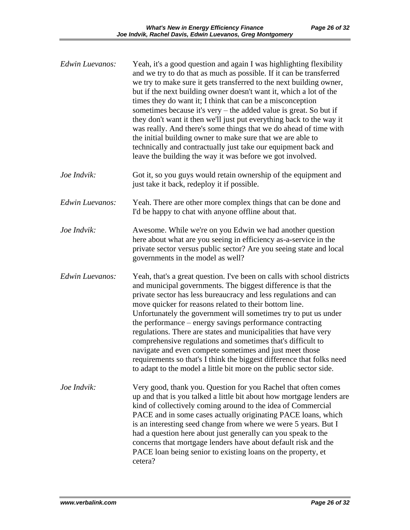| Edwin Luevanos: | Yeah, it's a good question and again I was highlighting flexibility<br>and we try to do that as much as possible. If it can be transferred<br>we try to make sure it gets transferred to the next building owner,<br>but if the next building owner doesn't want it, which a lot of the<br>times they do want it; I think that can be a misconception<br>sometimes because it's very $-$ the added value is great. So but if<br>they don't want it then we'll just put everything back to the way it<br>was really. And there's some things that we do ahead of time with<br>the initial building owner to make sure that we are able to<br>technically and contractually just take our equipment back and<br>leave the building the way it was before we got involved. |
|-----------------|-------------------------------------------------------------------------------------------------------------------------------------------------------------------------------------------------------------------------------------------------------------------------------------------------------------------------------------------------------------------------------------------------------------------------------------------------------------------------------------------------------------------------------------------------------------------------------------------------------------------------------------------------------------------------------------------------------------------------------------------------------------------------|
| Joe Indvik:     | Got it, so you guys would retain ownership of the equipment and<br>just take it back, redeploy it if possible.                                                                                                                                                                                                                                                                                                                                                                                                                                                                                                                                                                                                                                                          |
| Edwin Luevanos: | Yeah. There are other more complex things that can be done and<br>I'd be happy to chat with anyone offline about that.                                                                                                                                                                                                                                                                                                                                                                                                                                                                                                                                                                                                                                                  |
| Joe Indvik:     | Awesome. While we're on you Edwin we had another question<br>here about what are you seeing in efficiency as-a-service in the<br>private sector versus public sector? Are you seeing state and local<br>governments in the model as well?                                                                                                                                                                                                                                                                                                                                                                                                                                                                                                                               |
| Edwin Luevanos: | Yeah, that's a great question. I've been on calls with school districts<br>and municipal governments. The biggest difference is that the<br>private sector has less bureaucracy and less regulations and can<br>move quicker for reasons related to their bottom line.<br>Unfortunately the government will sometimes try to put us under<br>the performance – energy savings performance contracting<br>regulations. There are states and municipalities that have very<br>comprehensive regulations and sometimes that's difficult to<br>navigate and even compete sometimes and just meet those<br>requirements so that's I think the biggest difference that folks need<br>to adapt to the model a little bit more on the public sector side.                       |
| Joe Indvik:     | Very good, thank you. Question for you Rachel that often comes<br>up and that is you talked a little bit about how mortgage lenders are<br>kind of collectively coming around to the idea of Commercial<br>PACE and in some cases actually originating PACE loans, which<br>is an interesting seed change from where we were 5 years. But I<br>had a question here about just generally can you speak to the<br>concerns that mortgage lenders have about default risk and the<br>PACE loan being senior to existing loans on the property, et<br>cetera?                                                                                                                                                                                                               |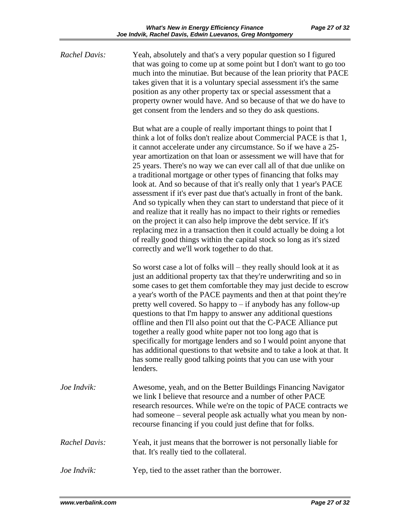| <b>Rachel Davis:</b> | Yeah, absolutely and that's a very popular question so I figured<br>that was going to come up at some point but I don't want to go too<br>much into the minutiae. But because of the lean priority that PACE<br>takes given that it is a voluntary special assessment it's the same<br>position as any other property tax or special assessment that a<br>property owner would have. And so because of that we do have to<br>get consent from the lenders and so they do ask questions.                                                                                                                                                                                                                                                                                                                                                                                                                                                                                                             |
|----------------------|-----------------------------------------------------------------------------------------------------------------------------------------------------------------------------------------------------------------------------------------------------------------------------------------------------------------------------------------------------------------------------------------------------------------------------------------------------------------------------------------------------------------------------------------------------------------------------------------------------------------------------------------------------------------------------------------------------------------------------------------------------------------------------------------------------------------------------------------------------------------------------------------------------------------------------------------------------------------------------------------------------|
|                      | But what are a couple of really important things to point that I<br>think a lot of folks don't realize about Commercial PACE is that 1,<br>it cannot accelerate under any circumstance. So if we have a 25-<br>year amortization on that loan or assessment we will have that for<br>25 years. There's no way we can ever call all of that due unlike on<br>a traditional mortgage or other types of financing that folks may<br>look at. And so because of that it's really only that 1 year's PACE<br>assessment if it's ever past due that's actually in front of the bank.<br>And so typically when they can start to understand that piece of it<br>and realize that it really has no impact to their rights or remedies<br>on the project it can also help improve the debt service. If it's<br>replacing mez in a transaction then it could actually be doing a lot<br>of really good things within the capital stock so long as it's sized<br>correctly and we'll work together to do that. |
|                      | So worst case a lot of folks will – they really should look at it as<br>just an additional property tax that they're underwriting and so in<br>some cases to get them comfortable they may just decide to escrow<br>a year's worth of the PACE payments and then at that point they're<br>pretty well covered. So happy to $-$ if anybody has any follow-up<br>questions to that I'm happy to answer any additional questions<br>offline and then I'll also point out that the C-PACE Alliance put<br>together a really good white paper not too long ago that is<br>specifically for mortgage lenders and so I would point anyone that<br>has additional questions to that website and to take a look at that. It<br>has some really good talking points that you can use with your<br>lenders.                                                                                                                                                                                                    |
| Joe Indvik:          | Awesome, yeah, and on the Better Buildings Financing Navigator<br>we link I believe that resource and a number of other PACE<br>research resources. While we're on the topic of PACE contracts we<br>had someone – several people ask actually what you mean by non-<br>recourse financing if you could just define that for folks.                                                                                                                                                                                                                                                                                                                                                                                                                                                                                                                                                                                                                                                                 |
| <b>Rachel Davis:</b> | Yeah, it just means that the borrower is not personally liable for<br>that. It's really tied to the collateral.                                                                                                                                                                                                                                                                                                                                                                                                                                                                                                                                                                                                                                                                                                                                                                                                                                                                                     |
| Joe Indvik:          | Yep, tied to the asset rather than the borrower.                                                                                                                                                                                                                                                                                                                                                                                                                                                                                                                                                                                                                                                                                                                                                                                                                                                                                                                                                    |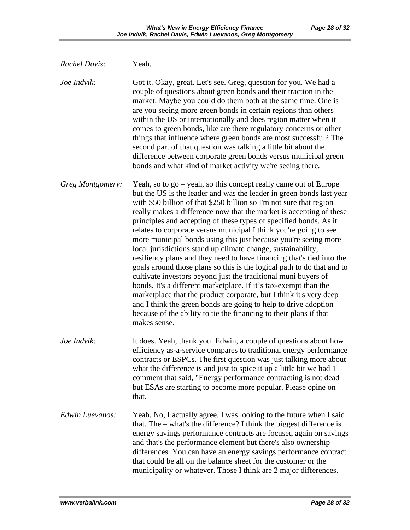| <b>Rachel Davis:</b> | Yeah.                                                                                                                                                                                                                                                                                                                                                                                                                                                                                                                                                                                                                                                                                                                                                                                                                                                                                                                                                                                                                                                                                          |
|----------------------|------------------------------------------------------------------------------------------------------------------------------------------------------------------------------------------------------------------------------------------------------------------------------------------------------------------------------------------------------------------------------------------------------------------------------------------------------------------------------------------------------------------------------------------------------------------------------------------------------------------------------------------------------------------------------------------------------------------------------------------------------------------------------------------------------------------------------------------------------------------------------------------------------------------------------------------------------------------------------------------------------------------------------------------------------------------------------------------------|
| Joe Indvik:          | Got it. Okay, great. Let's see. Greg, question for you. We had a<br>couple of questions about green bonds and their traction in the<br>market. Maybe you could do them both at the same time. One is<br>are you seeing more green bonds in certain regions than others<br>within the US or internationally and does region matter when it<br>comes to green bonds, like are there regulatory concerns or other<br>things that influence where green bonds are most successful? The<br>second part of that question was talking a little bit about the<br>difference between corporate green bonds versus municipal green<br>bonds and what kind of market activity we're seeing there.                                                                                                                                                                                                                                                                                                                                                                                                         |
| Greg Montgomery:     | Yeah, so to $go - yeah$ , so this concept really came out of Europe<br>but the US is the leader and was the leader in green bonds last year<br>with \$50 billion of that \$250 billion so I'm not sure that region<br>really makes a difference now that the market is accepting of these<br>principles and accepting of these types of specified bonds. As it<br>relates to corporate versus municipal I think you're going to see<br>more municipal bonds using this just because you're seeing more<br>local jurisdictions stand up climate change, sustainability,<br>resiliency plans and they need to have financing that's tied into the<br>goals around those plans so this is the logical path to do that and to<br>cultivate investors beyond just the traditional muni buyers of<br>bonds. It's a different marketplace. If it's tax-exempt than the<br>marketplace that the product corporate, but I think it's very deep<br>and I think the green bonds are going to help to drive adoption<br>because of the ability to tie the financing to their plans if that<br>makes sense. |
| Joe Indvik:          | It does. Yeah, thank you. Edwin, a couple of questions about how<br>efficiency as-a-service compares to traditional energy performance<br>contracts or ESPCs. The first question was just talking more about<br>what the difference is and just to spice it up a little bit we had 1<br>comment that said, "Energy performance contracting is not dead<br>but ESAs are starting to become more popular. Please opine on<br>that.                                                                                                                                                                                                                                                                                                                                                                                                                                                                                                                                                                                                                                                               |
| Edwin Luevanos:      | Yeah. No, I actually agree. I was looking to the future when I said<br>that. The – what's the difference? I think the biggest difference is<br>energy savings performance contracts are focused again on savings<br>and that's the performance element but there's also ownership<br>differences. You can have an energy savings performance contract<br>that could be all on the balance sheet for the customer or the<br>municipality or whatever. Those I think are 2 major differences.                                                                                                                                                                                                                                                                                                                                                                                                                                                                                                                                                                                                    |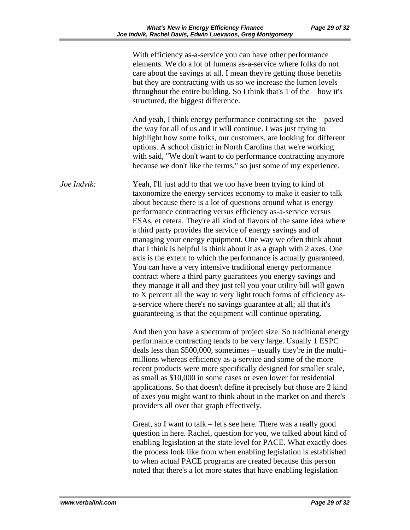| Page 29 of 32 |  |  |  |
|---------------|--|--|--|
|---------------|--|--|--|

|             | With efficiency as-a-service you can have other performance<br>elements. We do a lot of lumens as-a-service where folks do not<br>care about the savings at all. I mean they're getting those benefits<br>but they are contracting with us so we increase the lumen levels<br>throughout the entire building. So I think that's 1 of the $-$ how it's<br>structured, the biggest difference.                                                                                                                                                                                                                                                                                                                                                                                                                                                                                                                                                                                                                                                         |
|-------------|------------------------------------------------------------------------------------------------------------------------------------------------------------------------------------------------------------------------------------------------------------------------------------------------------------------------------------------------------------------------------------------------------------------------------------------------------------------------------------------------------------------------------------------------------------------------------------------------------------------------------------------------------------------------------------------------------------------------------------------------------------------------------------------------------------------------------------------------------------------------------------------------------------------------------------------------------------------------------------------------------------------------------------------------------|
|             | And yeah, I think energy performance contracting set the $-$ paved<br>the way for all of us and it will continue. I was just trying to<br>highlight how some folks, our customers, are looking for different<br>options. A school district in North Carolina that we're working<br>with said, "We don't want to do performance contracting anymore<br>because we don't like the terms," so just some of my experience.                                                                                                                                                                                                                                                                                                                                                                                                                                                                                                                                                                                                                               |
| Joe Indvik: | Yeah, I'll just add to that we too have been trying to kind of<br>taxonomize the energy services economy to make it easier to talk<br>about because there is a lot of questions around what is energy<br>performance contracting versus efficiency as-a-service versus<br>ESAs, et cetera. They're all kind of flavors of the same idea where<br>a third party provides the service of energy savings and of<br>managing your energy equipment. One way we often think about<br>that I think is helpful is think about it as a graph with 2 axes. One<br>axis is the extent to which the performance is actually guaranteed.<br>You can have a very intensive traditional energy performance<br>contract where a third party guarantees you energy savings and<br>they manage it all and they just tell you your utility bill will gown<br>to X percent all the way to very light touch forms of efficiency as-<br>a-service where there's no savings guarantee at all; all that it's<br>guaranteeing is that the equipment will continue operating. |
|             | And then you have a spectrum of project size. So traditional energy<br>performance contracting tends to be very large. Usually 1 ESPC<br>deals less than \$500,000, sometimes - usually they're in the multi-<br>millions whereas efficiency as-a-service and some of the more<br>recent products were more specifically designed for smaller scale,<br>as small as \$10,000 in some cases or even lower for residential<br>applications. So that doesn't define it precisely but those are 2 kind<br>of axes you might want to think about in the market on and there's<br>providers all over that graph effectively.                                                                                                                                                                                                                                                                                                                                                                                                                               |
|             | Great, so I want to talk $-$ let's see here. There was a really good<br>question in here. Rachel, question for you, we talked about kind of<br>enabling legislation at the state level for PACE. What exactly does<br>the process look like from when enabling legislation is established<br>to when actual PACE programs are created because this person<br>noted that there's a lot more states that have enabling legislation                                                                                                                                                                                                                                                                                                                                                                                                                                                                                                                                                                                                                     |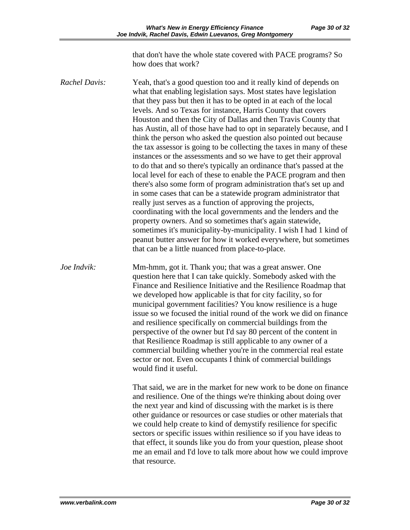that don't have the whole state covered with PACE programs? So how does that work?

*Rachel Davis:* Yeah, that's a good question too and it really kind of depends on what that enabling legislation says. Most states have legislation that they pass but then it has to be opted in at each of the local levels. And so Texas for instance, Harris County that covers Houston and then the City of Dallas and then Travis County that has Austin, all of those have had to opt in separately because, and I think the person who asked the question also pointed out because the tax assessor is going to be collecting the taxes in many of these instances or the assessments and so we have to get their approval to do that and so there's typically an ordinance that's passed at the local level for each of these to enable the PACE program and then there's also some form of program administration that's set up and in some cases that can be a statewide program administrator that really just serves as a function of approving the projects, coordinating with the local governments and the lenders and the property owners. And so sometimes that's again statewide, sometimes it's municipality-by-municipality. I wish I had 1 kind of peanut butter answer for how it worked everywhere, but sometimes that can be a little nuanced from place-to-place.

*Joe Indvik:* Mm-hmm, got it. Thank you; that was a great answer. One question here that I can take quickly. Somebody asked with the Finance and Resilience Initiative and the Resilience Roadmap that we developed how applicable is that for city facility, so for municipal government facilities? You know resilience is a huge issue so we focused the initial round of the work we did on finance and resilience specifically on commercial buildings from the perspective of the owner but I'd say 80 percent of the content in that Resilience Roadmap is still applicable to any owner of a commercial building whether you're in the commercial real estate sector or not. Even occupants I think of commercial buildings would find it useful.

> That said, we are in the market for new work to be done on finance and resilience. One of the things we're thinking about doing over the next year and kind of discussing with the market is is there other guidance or resources or case studies or other materials that we could help create to kind of demystify resilience for specific sectors or specific issues within resilience so if you have ideas to that effect, it sounds like you do from your question, please shoot me an email and I'd love to talk more about how we could improve that resource.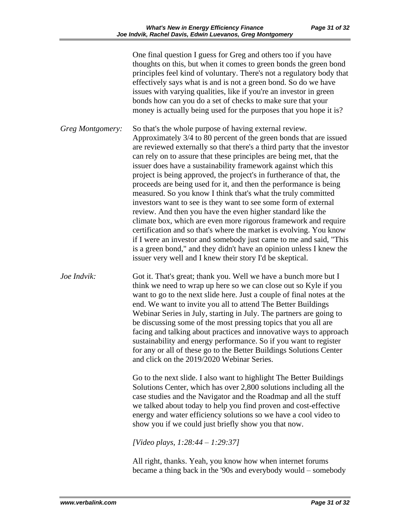One final question I guess for Greg and others too if you have thoughts on this, but when it comes to green bonds the green bond principles feel kind of voluntary. There's not a regulatory body that effectively says what is and is not a green bond. So do we have issues with varying qualities, like if you're an investor in green bonds how can you do a set of checks to make sure that your money is actually being used for the purposes that you hope it is? *Greg Montgomery:* So that's the whole purpose of having external review. Approximately 3/4 to 80 percent of the green bonds that are issued are reviewed externally so that there's a third party that the investor can rely on to assure that these principles are being met, that the issuer does have a sustainability framework against which this project is being approved, the project's in furtherance of that, the proceeds are being used for it, and then the performance is being measured. So you know I think that's what the truly committed investors want to see is they want to see some form of external review. And then you have the even higher standard like the climate box, which are even more rigorous framework and require certification and so that's where the market is evolving. You know if I were an investor and somebody just came to me and said, "This is a green bond," and they didn't have an opinion unless I knew the issuer very well and I knew their story I'd be skeptical. *Joe Indvik:* Got it. That's great; thank you. Well we have a bunch more but I think we need to wrap up here so we can close out so Kyle if you want to go to the next slide here. Just a couple of final notes at the end. We want to invite you all to attend The Better Buildings Webinar Series in July, starting in July. The partners are going to be discussing some of the most pressing topics that you all are facing and talking about practices and innovative ways to approach sustainability and energy performance. So if you want to register for any or all of these go to the Better Buildings Solutions Center and click on the 2019/2020 Webinar Series. Go to the next slide. I also want to highlight The Better Buildings Solutions Center, which has over 2,800 solutions including all the case studies and the Navigator and the Roadmap and all the stuff we talked about today to help you find proven and cost-effective energy and water efficiency solutions so we have a cool video to show you if we could just briefly show you that now. *[Video plays, 1:28:44 – 1:29:37]*

> All right, thanks. Yeah, you know how when internet forums became a thing back in the '90s and everybody would – somebody